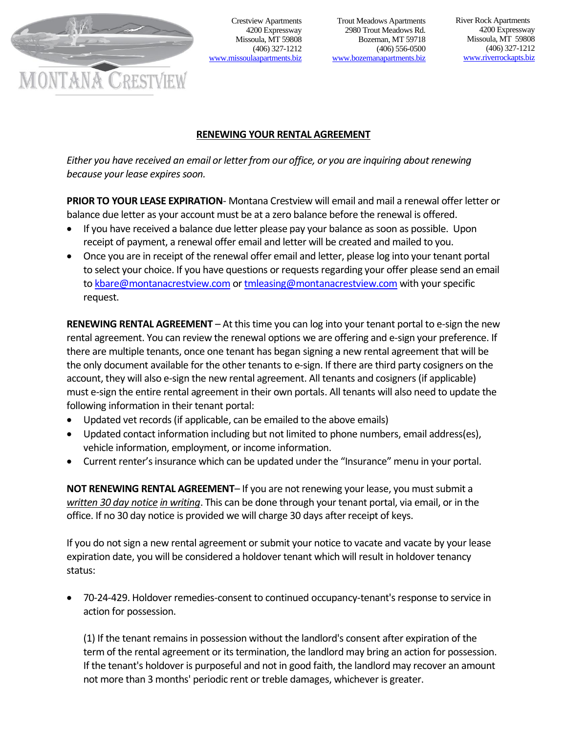

Crestview Apartments 4200 Expressway Missoula, MT 59808 (406) 327-1212 [www.missoulaapartments.biz](http://www.missoulaapartments.biz/)

Trout Meadows Apartments 2980 Trout Meadows Rd. Bozeman, MT 59718 (406) 556-0500 [www.bozemanapartments.biz](http://www.bozemanapartments.biz/)

 River Rock Apartments 4200 Expressway Missoula, MT 59808 (406) 327-1212 [www.riverrockapts.biz](http://www.riverrockapts.biz/)

## **RENEWING YOUR RENTAL AGREEMENT**

*Either you have received an email or letter from our office, or you are inquiring about renewing because your lease expires soon.*

**PRIOR TO YOUR LEASE EXPIRATION**- Montana Crestview will email and mail a renewal offer letter or balance due letter as your account must be at a zero balance before the renewal is offered.

- If you have received a balance due letter please pay your balance as soon as possible. Upon receipt of payment, a renewal offer email and letter will be created and mailed to you.
- Once you are in receipt of the renewal offer email and letter, please log into your tenant portal to select your choice. If you have questions or requests regarding your offer please send an email t[o kbare@montanacrestview.com](mailto:kbare@montanacrestview.com) or [tmleasing@montanacrestview.com](mailto:tmleasing@montanacrestview.com) with your specific request.

**RENEWING RENTAL AGREEMENT** – At this time you can log into your tenant portal to e-sign the new rental agreement. You can review the renewal options we are offering and e-sign your preference. If there are multiple tenants, once one tenant has began signing a new rental agreement that will be the only document available for the other tenants to e-sign. If there are third party cosigners on the account, they will also e-sign the new rental agreement. All tenants and cosigners (if applicable) must e-sign the entire rental agreement in their own portals. All tenants will also need to update the following information in their tenant portal:

- Updated vet records (if applicable, can be emailed to the above emails)
- Updated contact information including but not limited to phone numbers, email address(es), vehicle information, employment, or income information.
- Current renter's insurance which can be updated under the "Insurance" menu in your portal.

**NOT RENEWING RENTAL AGREEMENT**– If you are not renewing your lease, you must submit a *written 30 day notice in writing*. This can be done through your tenant portal, via email, or in the office. If no 30 day notice is provided we will charge 30 days after receipt of keys.

If you do not sign a new rental agreement or submit your notice to vacate and vacate by your lease expiration date, you will be considered a holdover tenant which will result in holdover tenancy status:

• 70-24-429. Holdover remedies-consent to continued occupancy-tenant's response to service in action for possession.

(1) If the tenant remains in possession without the landlord's consent after expiration of the term of the rental agreement or its termination, the landlord may bring an action for possession. If the tenant's holdover is purposeful and not in good faith, the landlord may recover an amount not more than 3 months' periodic rent or treble damages, whichever is greater.